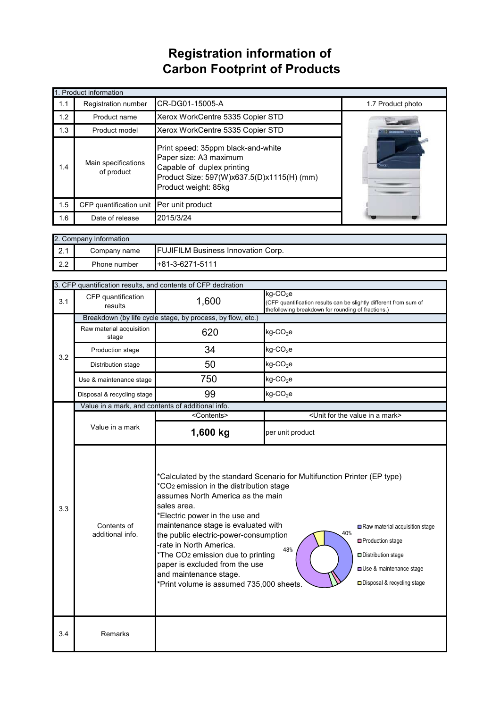## **Registration information of Carbon Footprint of Products**

| 1. Product information |                                                                                                                                                                                                       |                                  |                   |  |
|------------------------|-------------------------------------------------------------------------------------------------------------------------------------------------------------------------------------------------------|----------------------------------|-------------------|--|
| 1.1                    | <b>Registration number</b>                                                                                                                                                                            | CR-DG01-15005-A                  | 1.7 Product photo |  |
| 1.2                    | Product name                                                                                                                                                                                          | Xerox WorkCentre 5335 Copier STD |                   |  |
| 1.3                    | Product model                                                                                                                                                                                         | Xerox WorkCentre 5335 Copier STD |                   |  |
| 1.4                    | Print speed: 35ppm black-and-white<br>Paper size: A3 maximum<br>Main specifications<br>Capable of duplex printing<br>of product<br>Product Size: 597(W)x637.5(D)x1115(H) (mm)<br>Product weight: 85kg |                                  |                   |  |
| 1.5                    | CFP quantification unit Per unit product                                                                                                                                                              |                                  |                   |  |
| 1.6                    | Date of release                                                                                                                                                                                       | 2015/3/24                        |                   |  |

| 2. Company Information |              |                                           |  |  |
|------------------------|--------------|-------------------------------------------|--|--|
| ົດ 4<br>$\mathbf{z}$ . | Company name | <b>FUJIFILM Business Innovation Corp.</b> |  |  |
| 2.2                    | Phone number | $+81-3-6271-5111$                         |  |  |

|     | 3. CFP quantification results, and contents of CFP declration                                                                                                                                                                                                                                                                                                                                                                                                                                                                  |                       |                                                                                                                                                    |  |  |
|-----|--------------------------------------------------------------------------------------------------------------------------------------------------------------------------------------------------------------------------------------------------------------------------------------------------------------------------------------------------------------------------------------------------------------------------------------------------------------------------------------------------------------------------------|-----------------------|----------------------------------------------------------------------------------------------------------------------------------------------------|--|--|
| 3.1 | CFP quantification<br>results                                                                                                                                                                                                                                                                                                                                                                                                                                                                                                  | 1,600                 | $kg$ -CO <sub>2</sub> e<br>(CFP quantification results can be slightly different from sum of<br>thefollowing breakdown for rounding of fractions.) |  |  |
|     | Breakdown (by life cycle stage, by process, by flow, etc.)                                                                                                                                                                                                                                                                                                                                                                                                                                                                     |                       |                                                                                                                                                    |  |  |
| 3.2 | Raw material acquisition<br>stage                                                                                                                                                                                                                                                                                                                                                                                                                                                                                              | 620                   | $kg$ -CO <sub>2</sub> e                                                                                                                            |  |  |
|     | Production stage                                                                                                                                                                                                                                                                                                                                                                                                                                                                                                               | 34                    | $kg$ -CO <sub>2</sub> e                                                                                                                            |  |  |
|     | Distribution stage                                                                                                                                                                                                                                                                                                                                                                                                                                                                                                             | 50                    | $kg$ -CO <sub>2</sub> e                                                                                                                            |  |  |
|     | Use & maintenance stage                                                                                                                                                                                                                                                                                                                                                                                                                                                                                                        | 750                   | $kg$ -CO <sub>2</sub> e                                                                                                                            |  |  |
|     | Disposal & recycling stage                                                                                                                                                                                                                                                                                                                                                                                                                                                                                                     | 99                    | $kg$ -CO <sub>2</sub> e                                                                                                                            |  |  |
|     | Value in a mark, and contents of additional info.                                                                                                                                                                                                                                                                                                                                                                                                                                                                              |                       |                                                                                                                                                    |  |  |
|     |                                                                                                                                                                                                                                                                                                                                                                                                                                                                                                                                | <contents></contents> | <unit a="" for="" in="" mark="" the="" value=""></unit>                                                                                            |  |  |
|     | Value in a mark                                                                                                                                                                                                                                                                                                                                                                                                                                                                                                                | 1,600 kg              | per unit product                                                                                                                                   |  |  |
| 3.3 | *Calculated by the standard Scenario for Multifunction Printer (EP type)<br>*CO <sub>2</sub> emission in the distribution stage<br>assumes North America as the main<br>sales area.<br>*Electric power in the use and<br>maintenance stage is evaluated with<br>Contents of<br>40%<br>additional info.<br>the public electric-power-consumption<br>-rate in North America.<br>48%<br>*The CO2 emission due to printing<br>paper is excluded from the use<br>and maintenance stage.<br>*Print volume is assumed 735,000 sheets. |                       | Raw material acquisition stage<br>□ Production stage<br>Distribution stage<br>Use & maintenance stage<br>□ Disposal & recycling stage              |  |  |
| 3.4 | Remarks                                                                                                                                                                                                                                                                                                                                                                                                                                                                                                                        |                       |                                                                                                                                                    |  |  |